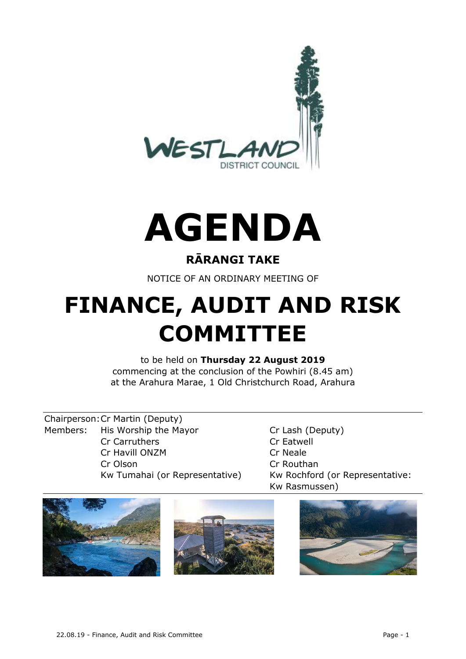



# **RĀRANGI TAKE**

NOTICE OF AN ORDINARY MEETING OF

# **FINANCE, AUDIT AND RISK COMMITTEE**

to be held on **Thursday 22 August 2019** commencing at the conclusion of the Powhiri (8.45 am) at the Arahura Marae, 1 Old Christchurch Road, Arahura

Chairperson:Cr Martin (Deputy) Members: His Worship the Mayor Cr Lash (Deputy) Cr Carruthers Cr Eatwell Cr Havill ONZM Cr Neale Cr Olson Cr Routhan

Kw Tumahai (or Representative) Kw Rochford (or Representative: Kw Rasmussen)

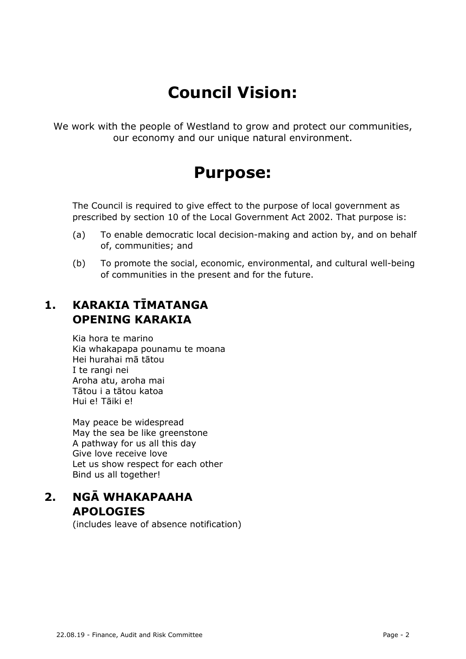# **Council Vision:**

We work with the people of Westland to grow and protect our communities, our economy and our unique natural environment.

# **Purpose:**

The Council is required to give effect to the purpose of local government as prescribed by section 10 of the Local Government Act 2002. That purpose is:

- (a) To enable democratic local decision-making and action by, and on behalf of, communities; and
- (b) To promote the social, economic, environmental, and cultural well-being of communities in the present and for the future.

# **1. KARAKIA TĪMATANGA OPENING KARAKIA**

Kia hora te marino Kia whakapapa pounamu te moana Hei hurahai mā tātou I te rangi nei Aroha atu, aroha mai Tātou i a tātou katoa Hui e! Tāiki e!

May peace be widespread May the sea be like greenstone A pathway for us all this day Give love receive love Let us show respect for each other Bind us all together!

# **2. NGĀ WHAKAPAAHA APOLOGIES**

(includes leave of absence notification)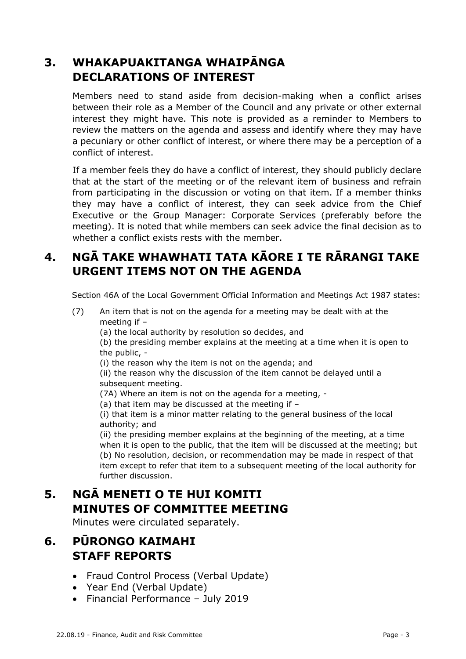# **3. WHAKAPUAKITANGA WHAIPĀNGA DECLARATIONS OF INTEREST**

Members need to stand aside from decision-making when a conflict arises between their role as a Member of the Council and any private or other external interest they might have. This note is provided as a reminder to Members to review the matters on the agenda and assess and identify where they may have a pecuniary or other conflict of interest, or where there may be a perception of a conflict of interest.

If a member feels they do have a conflict of interest, they should publicly declare that at the start of the meeting or of the relevant item of business and refrain from participating in the discussion or voting on that item. If a member thinks they may have a conflict of interest, they can seek advice from the Chief Executive or the Group Manager: Corporate Services (preferably before the meeting). It is noted that while members can seek advice the final decision as to whether a conflict exists rests with the member.

# **4. NGĀ TAKE WHAWHATI TATA KĀORE I TE RĀRANGI TAKE URGENT ITEMS NOT ON THE AGENDA**

Section 46A of the Local Government Official Information and Meetings Act 1987 states:

- (7) An item that is not on the agenda for a meeting may be dealt with at the meeting if –
	- (a) the local authority by resolution so decides, and

(b) the presiding member explains at the meeting at a time when it is open to the public, -

(i) the reason why the item is not on the agenda; and

(ii) the reason why the discussion of the item cannot be delayed until a subsequent meeting.

- (7A) Where an item is not on the agenda for a meeting, -
- (a) that item may be discussed at the meeting if –

(i) that item is a minor matter relating to the general business of the local authority; and

(ii) the presiding member explains at the beginning of the meeting, at a time when it is open to the public, that the item will be discussed at the meeting; but (b) No resolution, decision, or recommendation may be made in respect of that item except to refer that item to a subsequent meeting of the local authority for further discussion.

# **5. NGĀ MENETI O TE HUI KOMITI MINUTES OF COMMITTEE MEETING**

Minutes were circulated separately.

# **6. PŪRONGO KAIMAHI STAFF REPORTS**

- Fraud Control Process (Verbal Update)
- Year End (Verbal Update)
- Financial Performance July 2019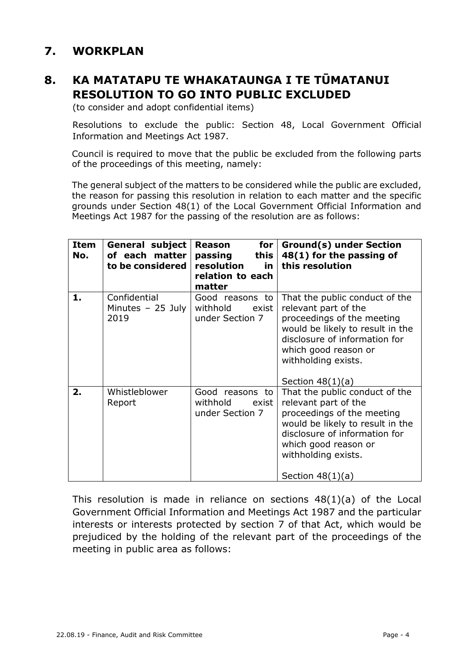# **7. WORKPLAN**

# **8. KA MATATAPU TE WHAKATAUNGA I TE TŪMATANUI RESOLUTION TO GO INTO PUBLIC EXCLUDED**

(to consider and adopt confidential items)

Resolutions to exclude the public: Section 48, Local Government Official Information and Meetings Act 1987.

Council is required to move that the public be excluded from the following parts of the proceedings of this meeting, namely:

The general subject of the matters to be considered while the public are excluded, the reason for passing this resolution in relation to each matter and the specific grounds under Section 48(1) of the Local Government Official Information and Meetings Act 1987 for the passing of the resolution are as follows:

| Item<br>No. | <b>General subject</b><br>of each matter<br>to be considered | for<br>Reason<br>this<br>passing<br>resolution<br>in.<br>relation to each<br>matter | <b>Ground(s) under Section</b><br>48(1) for the passing of<br>this resolution                                                                                                                                                  |
|-------------|--------------------------------------------------------------|-------------------------------------------------------------------------------------|--------------------------------------------------------------------------------------------------------------------------------------------------------------------------------------------------------------------------------|
| 1.          | Confidential<br>Minutes $-25$ July<br>2019                   | Good reasons to<br>withhold<br>exist<br>under Section 7                             | That the public conduct of the<br>relevant part of the<br>proceedings of the meeting<br>would be likely to result in the<br>disclosure of information for<br>which good reason or<br>withholding exists.<br>Section $48(1)(a)$ |
| 2.          | Whistleblower<br>Report                                      | Good reasons to<br>withhold<br>exist<br>under Section 7                             | That the public conduct of the<br>relevant part of the<br>proceedings of the meeting<br>would be likely to result in the<br>disclosure of information for<br>which good reason or<br>withholding exists.<br>Section $48(1)(a)$ |

This resolution is made in reliance on sections 48(1)(a) of the Local Government Official Information and Meetings Act 1987 and the particular interests or interests protected by section 7 of that Act, which would be prejudiced by the holding of the relevant part of the proceedings of the meeting in public area as follows: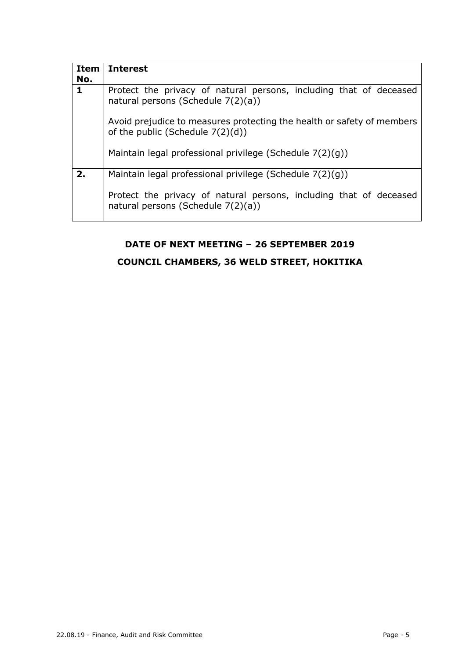| <b>Item</b> | <b>Interest</b>                                                                                               |
|-------------|---------------------------------------------------------------------------------------------------------------|
| No.         |                                                                                                               |
| 1           | Protect the privacy of natural persons, including that of deceased<br>natural persons (Schedule 7(2)(a))      |
|             | Avoid prejudice to measures protecting the health or safety of members<br>of the public (Schedule $7(2)(d)$ ) |
|             | Maintain legal professional privilege (Schedule 7(2)(g))                                                      |
| 2.          | Maintain legal professional privilege (Schedule 7(2)(g))                                                      |
|             | Protect the privacy of natural persons, including that of deceased<br>natural persons (Schedule 7(2)(a))      |

#### **DATE OF NEXT MEETING – 26 SEPTEMBER 2019**

#### **COUNCIL CHAMBERS, 36 WELD STREET, HOKITIKA**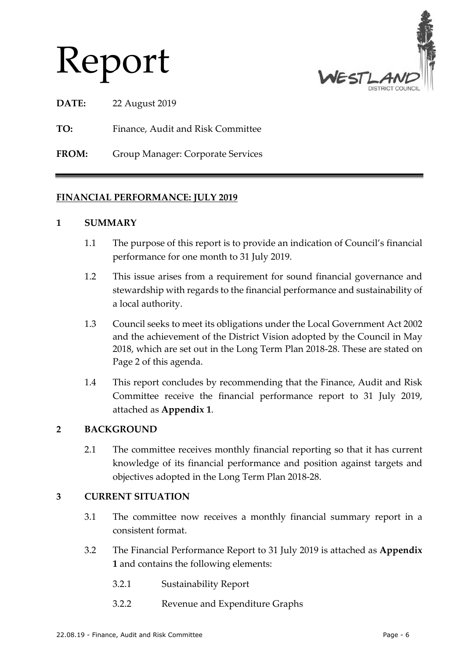# Report



**DATE:** 22 August 2019

**TO:** Finance, Audit and Risk Committee

**FROM:** Group Manager: Corporate Services

#### **FINANCIAL PERFORMANCE: JULY 2019**

#### **1 SUMMARY**

- 1.1 The purpose of this report is to provide an indication of Council's financial performance for one month to 31 July 2019.
- 1.2 This issue arises from a requirement for sound financial governance and stewardship with regards to the financial performance and sustainability of a local authority.
- 1.3 Council seeks to meet its obligations under the Local Government Act 2002 and the achievement of the District Vision adopted by the Council in May 2018, which are set out in the Long Term Plan 2018-28. These are stated on Page 2 of this agenda.
- 1.4 This report concludes by recommending that the Finance, Audit and Risk Committee receive the financial performance report to 31 July 2019, attached as **Appendix 1**.

#### **2 BACKGROUND**

2.1 The committee receives monthly financial reporting so that it has current knowledge of its financial performance and position against targets and objectives adopted in the Long Term Plan 2018-28.

#### **3 CURRENT SITUATION**

- 3.1 The committee now receives a monthly financial summary report in a consistent format.
- 3.2 The Financial Performance Report to 31 July 2019 is attached as **Appendix 1** and contains the following elements:
	- 3.2.1 Sustainability Report
	- 3.2.2 Revenue and Expenditure Graphs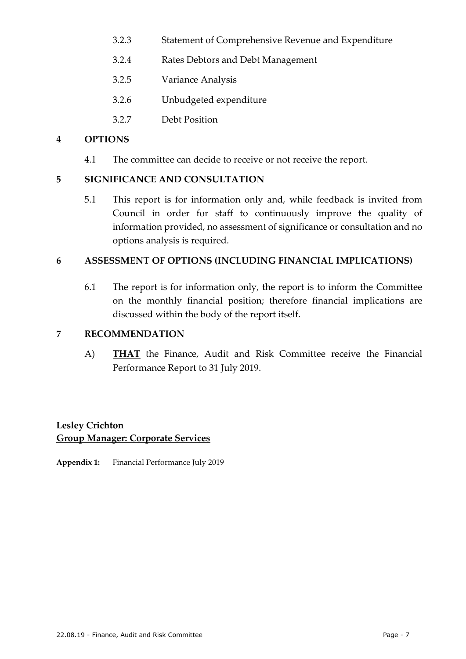- 3.2.3 Statement of Comprehensive Revenue and Expenditure
- 3.2.4 Rates Debtors and Debt Management
- 3.2.5 Variance Analysis
- 3.2.6 Unbudgeted expenditure
- 3.2.7 Debt Position

#### **4 OPTIONS**

4.1 The committee can decide to receive or not receive the report.

#### **5 SIGNIFICANCE AND CONSULTATION**

5.1 This report is for information only and, while feedback is invited from Council in order for staff to continuously improve the quality of information provided, no assessment of significance or consultation and no options analysis is required.

#### **6 ASSESSMENT OF OPTIONS (INCLUDING FINANCIAL IMPLICATIONS)**

6.1 The report is for information only, the report is to inform the Committee on the monthly financial position; therefore financial implications are discussed within the body of the report itself.

#### **7 RECOMMENDATION**

A) **THAT** the Finance, Audit and Risk Committee receive the Financial Performance Report to 31 July 2019.

#### **Lesley Crichton Group Manager: Corporate Services**

**Appendix 1:** Financial Performance July 2019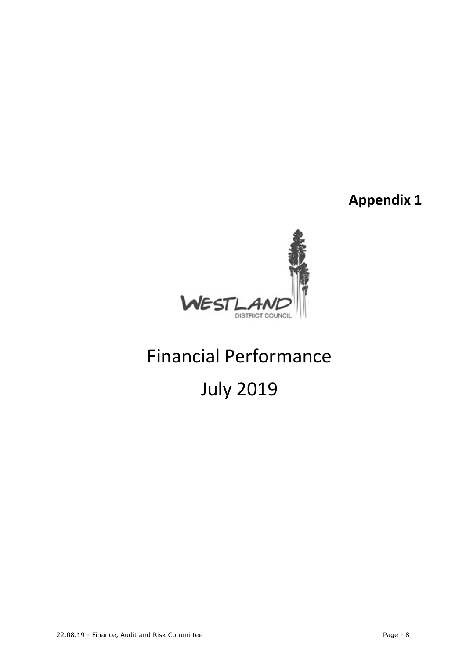**Appendix 1**



# Financial Performance July 2019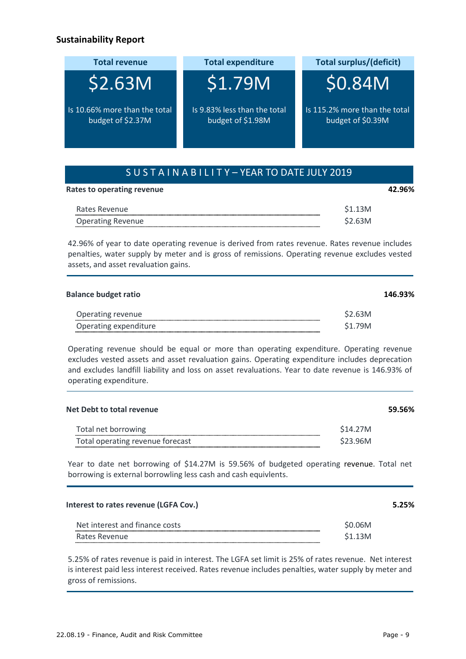#### **Sustainability Report**

| <b>Total revenue</b>                               | <b>Total expenditure</b>                          | <b>Total surplus/(deficit)</b>                     |  |
|----------------------------------------------------|---------------------------------------------------|----------------------------------------------------|--|
| \$2.63M                                            | \$1.79M                                           | <b>SO.84M</b>                                      |  |
| Is 10.66% more than the total<br>budget of \$2.37M | Is 9.83% less than the total<br>budget of \$1.98M | Is 115.2% more than the total<br>budget of \$0.39M |  |

**Rates to operating revenue 42.96%**

| Rates Revenue            |        |
|--------------------------|--------|
| <b>Operating Revenue</b> | 52.63M |

42.96% of year to date operating revenue is derived from rates revenue. Rates revenue includes penalties, water supply by meter and is gross of remissions. Operating revenue excludes vested assets, and asset revaluation gains.

| <b>Balance budget ratio</b> | 146.93% |
|-----------------------------|---------|
| Operating revenue           | \$2.63M |
| Operating expenditure       | \$1.79M |

Operating revenue should be equal or more than operating expenditure. Operating revenue excludes vested assets and asset revaluation gains. Operating expenditure includes deprecation and excludes landfill liability and loss on asset revaluations. Year to date revenue is 146.93% of operating expenditure.

| Net Debt to total revenue                                                       | 59.56% |
|---------------------------------------------------------------------------------|--------|
| \$14,27M<br>Total net borrowing<br>Total operating revenue forecast<br>\$23.96M |        |

Year to date net borrowing of \$14.27M is 59.56% of budgeted operating revenue. Total net borrowing is external borrowling less cash and cash equivlents.

| Interest to rates revenue (LGFA Cov.) |                     |  |  |
|---------------------------------------|---------------------|--|--|
| Net interest and finance costs        | \$0.06M             |  |  |
| Rates Revenue                         | S <sub>1.13</sub> M |  |  |

5.25% of rates revenue is paid in interest. The LGFA set limit is 25% of rates revenue. Net interest is interest paid less interest received. Rates revenue includes penalties, water supply by meter and gross of remissions.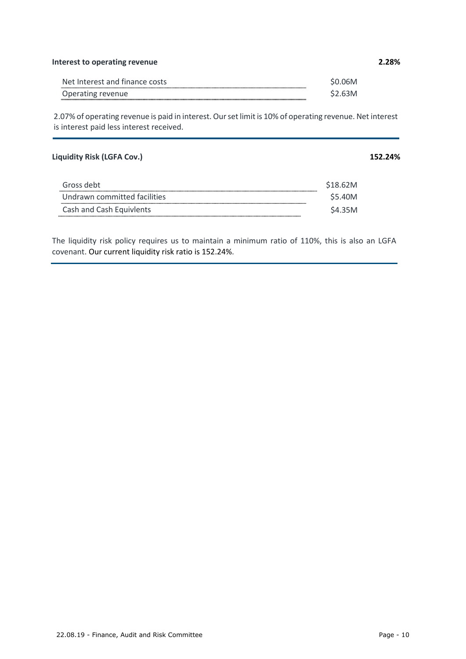#### **Interest to operating revenue 2.28%**

| Net Interest and finance costs |  |
|--------------------------------|--|
| Operating revenue              |  |

2.07% of operating revenue is paid in interest. Our set limit is 10% of operating revenue. Net interest is interest paid less interest received.

#### **Liquidity Risk (LGFA Cov.) 152.24%**

| Gross debt                   | S18.62M |
|------------------------------|---------|
| Undrawn committed facilities | \$5.40M |
| Cash and Cash Equivlents     | S4.35M  |

The liquidity risk policy requires us to maintain a minimum ratio of 110%, this is also an LGFA covenant. Our current liquidity risk ratio is 152.24%.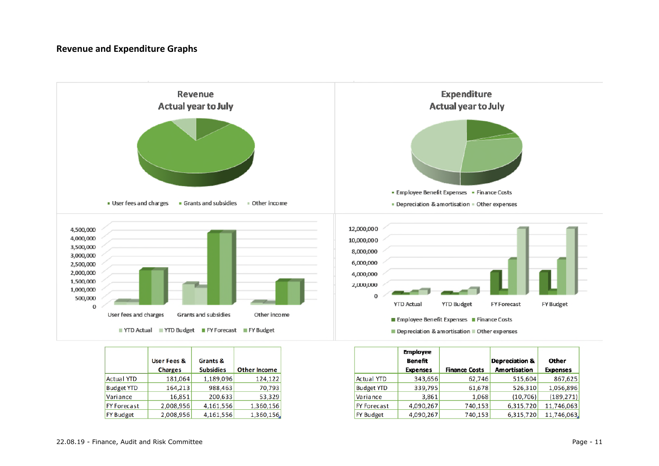#### **Revenue and Expenditure Graphs**



|                    | <b>User Fees &amp;</b><br>Grants & |                  |                     |
|--------------------|------------------------------------|------------------|---------------------|
|                    | <b>Charges</b>                     | <b>Subsidies</b> | <b>Other Income</b> |
| <b>Actual YTD</b>  | 181,064                            | 1,189,096        | 124,122             |
| <b>Budget YTD</b>  | 164,213                            | 988,463          | 70,793              |
| Variance           | 16,851                             | 200,633          | 53,329              |
| <b>FY Forecast</b> | 2,008,956                          | 4,161,556        | 1,360,156           |
| <b>FY Budget</b>   | 2,008,956                          | 4,161,556        | 1,360,156.          |

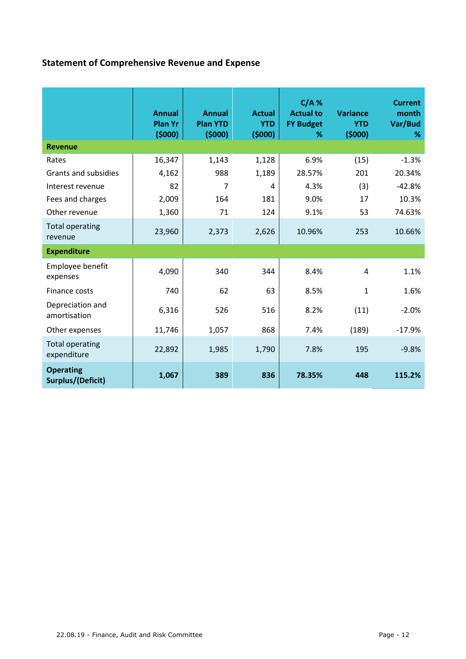# **Statement of Comprehensive Revenue and Expense**

|                                       | <b>Annual</b><br><b>Plan Yr</b><br>(5000) | <b>Annual</b><br><b>Plan YTD</b><br>(5000) | <b>Actual</b><br><b>YTD</b><br>(5000) | $C/A$ %<br><b>Actual to</b><br><b>FY Budget</b><br>% | <b>Variance</b><br><b>YTD</b><br>(5000) | <b>Current</b><br>month<br>Var/Bud<br>℅ |
|---------------------------------------|-------------------------------------------|--------------------------------------------|---------------------------------------|------------------------------------------------------|-----------------------------------------|-----------------------------------------|
| <b>Revenue</b>                        |                                           |                                            |                                       |                                                      |                                         |                                         |
| Rates                                 | 16,347                                    | 1,143                                      | 1,128                                 | 6.9%                                                 | (15)                                    | $-1.3%$                                 |
| Grants and subsidies                  | 4,162                                     | 988                                        | 1,189                                 | 28.57%                                               | 201                                     | 20.34%                                  |
| Interest revenue                      | 82                                        | 7                                          | 4                                     | 4.3%                                                 | (3)                                     | $-42.8%$                                |
| Fees and charges                      | 2,009                                     | 164                                        | 181                                   | 9.0%                                                 | 17                                      | 10.3%                                   |
| Other revenue                         | 1,360                                     | 71                                         | 124                                   | 9.1%                                                 | 53                                      | 74.63%                                  |
| <b>Total operating</b><br>revenue     | 23,960                                    | 2,373                                      | 2,626                                 | 10.96%                                               | 253                                     | 10.66%                                  |
| <b>Expenditure</b>                    |                                           |                                            |                                       |                                                      |                                         |                                         |
| Employee benefit<br>expenses          | 4,090                                     | 340                                        | 344                                   | 8.4%                                                 | 4                                       | 1.1%                                    |
| Finance costs                         | 740                                       | 62                                         | 63                                    | 8.5%                                                 | 1                                       | 1.6%                                    |
| Depreciation and<br>amortisation      | 6,316                                     | 526                                        | 516                                   | 8.2%                                                 | (11)                                    | $-2.0%$                                 |
| Other expenses                        | 11,746                                    | 1,057                                      | 868                                   | 7.4%                                                 | (189)                                   | $-17.9%$                                |
| <b>Total operating</b><br>expenditure | 22,892                                    | 1,985                                      | 1,790                                 | 7.8%                                                 | 195                                     | $-9.8%$                                 |
| <b>Operating</b><br>Surplus/(Deficit) | 1,067                                     | 389                                        | 836                                   | 78.35%                                               | 448                                     | 115.2%                                  |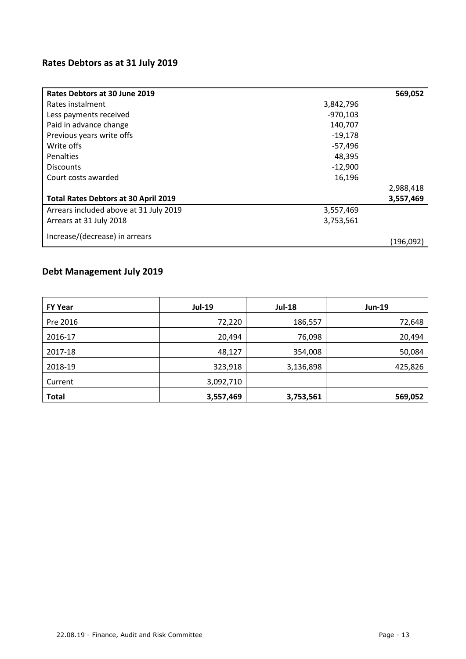# **Rates Debtors as at 31 July 2019**

| Rates Debtors at 30 June 2019          |            | 569,052   |
|----------------------------------------|------------|-----------|
| Rates instalment                       | 3,842,796  |           |
| Less payments received                 | $-970,103$ |           |
| Paid in advance change                 | 140,707    |           |
| Previous years write offs              | $-19,178$  |           |
| Write offs                             | $-57,496$  |           |
| <b>Penalties</b>                       | 48,395     |           |
| <b>Discounts</b>                       | $-12,900$  |           |
| Court costs awarded                    | 16,196     |           |
|                                        |            | 2,988,418 |
| Total Rates Debtors at 30 April 2019   |            | 3,557,469 |
| Arrears included above at 31 July 2019 | 3,557,469  |           |
| Arrears at 31 July 2018                | 3,753,561  |           |
| Increase/(decrease) in arrears         |            | (196.092) |

# **Debt Management July 2019**

| <b>FY Year</b> | <b>Jul-19</b> | <b>Jul-18</b> | $Jun-19$ |
|----------------|---------------|---------------|----------|
| Pre 2016       | 72,220        | 186,557       | 72,648   |
| 2016-17        | 20,494        | 76,098        | 20,494   |
| 2017-18        | 48,127        | 354,008       | 50,084   |
| 2018-19        | 323,918       | 3,136,898     | 425,826  |
| Current        | 3,092,710     |               |          |
| <b>Total</b>   | 3,557,469     | 3,753,561     | 569,052  |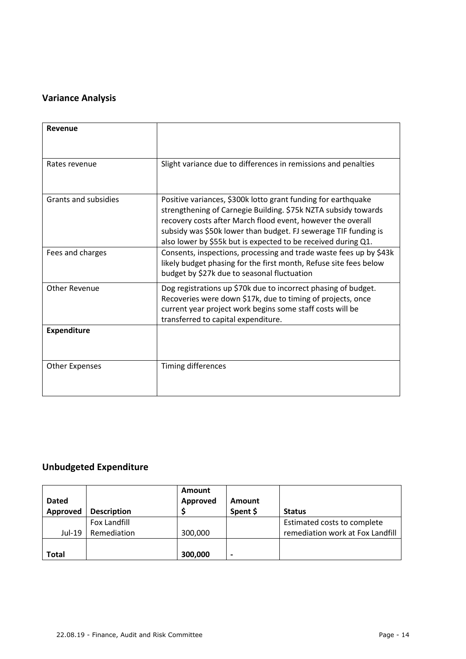# **Variance Analysis**

| Revenue               |                                                                                                                                                                                                                                                                                                                                    |
|-----------------------|------------------------------------------------------------------------------------------------------------------------------------------------------------------------------------------------------------------------------------------------------------------------------------------------------------------------------------|
| Rates revenue         | Slight variance due to differences in remissions and penalties                                                                                                                                                                                                                                                                     |
| Grants and subsidies  | Positive variances, \$300k lotto grant funding for earthquake<br>strengthening of Carnegie Building. \$75k NZTA subsidy towards<br>recovery costs after March flood event, however the overall<br>subsidy was \$50k lower than budget. FJ sewerage TIF funding is<br>also lower by \$55k but is expected to be received during Q1. |
| Fees and charges      | Consents, inspections, processing and trade waste fees up by \$43k<br>likely budget phasing for the first month, Refuse site fees below<br>budget by \$27k due to seasonal fluctuation                                                                                                                                             |
| <b>Other Revenue</b>  | Dog registrations up \$70k due to incorrect phasing of budget.<br>Recoveries were down \$17k, due to timing of projects, once<br>current year project work begins some staff costs will be<br>transferred to capital expenditure.                                                                                                  |
| <b>Expenditure</b>    |                                                                                                                                                                                                                                                                                                                                    |
| <b>Other Expenses</b> | Timing differences                                                                                                                                                                                                                                                                                                                 |

# **Unbudgeted Expenditure**

| <b>Dated</b><br>Approved | <b>Description</b>          | <b>Amount</b><br>Approved | Amount<br>Spent \$ | <b>Status</b>                                                   |
|--------------------------|-----------------------------|---------------------------|--------------------|-----------------------------------------------------------------|
| Jul-19                   | Fox Landfill<br>Remediation | 300,000                   |                    | Estimated costs to complete<br>remediation work at Fox Landfill |
| <b>Total</b>             |                             | 300,000                   | -                  |                                                                 |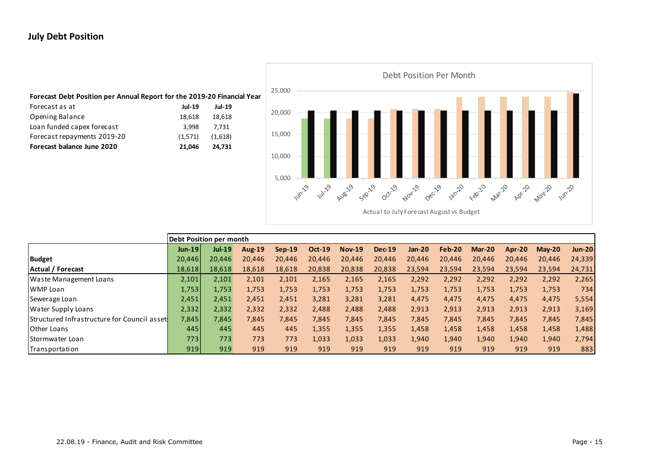#### **July Debt Position**



|                                             | Debt Position per month |               |               |          |               |               |               |          |        |        |               |           |               |
|---------------------------------------------|-------------------------|---------------|---------------|----------|---------------|---------------|---------------|----------|--------|--------|---------------|-----------|---------------|
|                                             | $Jun-19$                | <b>Jul-19</b> | <b>Aug-19</b> | $Sep-19$ | <b>Oct-19</b> | <b>Nov-19</b> | <b>Dec-19</b> | $Jan-20$ | Feb-20 | Mar-20 | <b>Apr-20</b> | $M$ ay-20 | <b>Jun-20</b> |
| <b>Budget</b>                               | 20,446                  | 20,446        | 20.446        | 20.446   | 20,446        | 20,446        | 20,446        | 20,446   | 20,446 | 20,446 | 20,446        | 20,446    | 24,339        |
| Actual / Forecast                           | 18,618                  | 18,618        | 18,618        | 18,618   | 20,838        | 20,838        | 20,838        | 23,594   | 23,594 | 23,594 | 23,594        | 23,594    | 24,731        |
| Waste Management Loans                      | 2,101                   | 2,101         | 2,101         | 2,101    | 2,165         | 2,165         | 2,165         | 2,292    | 2,292  | 2,292  | 2,292         | 2,292     | 2,265         |
| WMP Loan                                    | 1,753                   | 1,753         | 1,753         | 1,753    | 1,753         | 1,753         | 1,753         | 1,753    | 1,753  | 1,753  | 1,753         | 1,753     | 734           |
| Sewerage Loan                               | 2,451                   | 2,451         | 2,451         | 2,451    | 3,281         | 3,281         | 3,281         | 4,475    | 4,475  | 4,475  | 4,475         | 4,475     | 5,554         |
| Water Supply Loans                          | 2,332                   | 2,332         | 2,332         | 2,332    | 2,488         | 2,488         | 2,488         | 2,913    | 2,913  | 2,913  | 2,913         | 2,913     | 3,169         |
| Structured Infrastructure for Council asset | 7,845                   | 7,845         | 7,845         | 7,845    | 7,845         | 7,845         | 7,845         | 7,845    | 7,845  | 7,845  | 7,845         | 7,845     | 7,845         |
| Other Loans                                 | 445                     | 445           | 445           | 445      | 1,355         | 1,355         | 1,355         | 1,458    | 1,458  | 1,458  | 1,458         | 1,458     | 1,488         |
| Stormwater Loan                             | 7731                    | 773           | 773           | 773      | 1,033         | 1,033         | 1,033         | 1,940    | 1,940  | 1,940  | 1,940         | 1,940     | 2,794         |
| Transportation                              | 919                     | 919           | 919           | 919      | 919           | 919           | 919           | 919      | 919    | 919    | 919           | 919       | 883           |

Actual to July Forecast August vs Budget